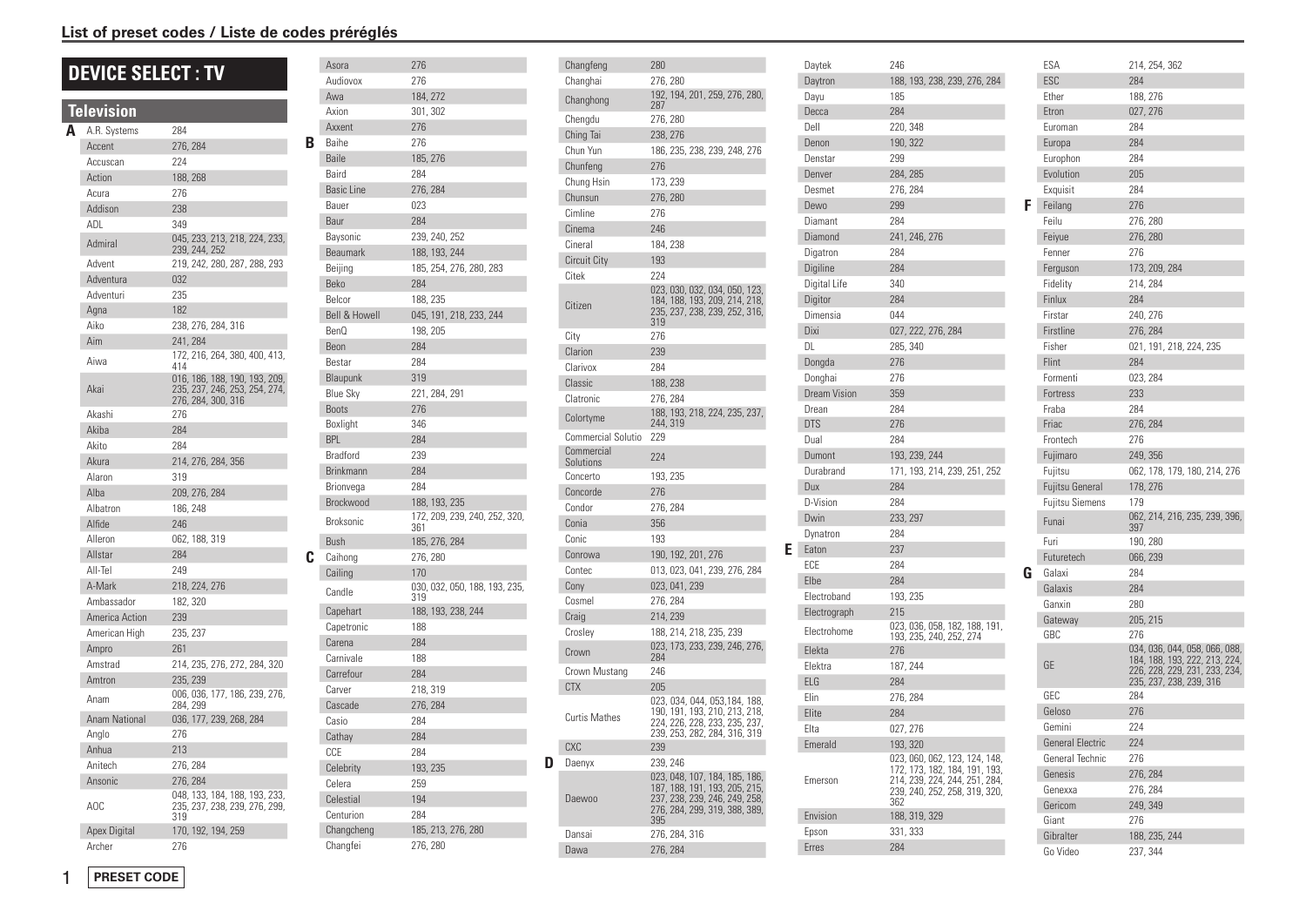#### List of preset codes / Liste de codes préréglés

# **DEVICE SELECT : TV**

| <u><b>Ielevision</b></u> |                                                                                              |
|--------------------------|----------------------------------------------------------------------------------------------|
| A.R. Systems             | 284                                                                                          |
| Accent                   | 276, 284                                                                                     |
| Accuscan                 | 224                                                                                          |
| Action                   | 188, 268                                                                                     |
| Acura                    | 276                                                                                          |
| Addison                  | 238                                                                                          |
| ADI                      | 349                                                                                          |
| Admiral                  | 045, 233, 213, 218, 224, 233,<br>239, 244, 252                                               |
| Advent                   | 219, 242, 280, 287, 288, 293                                                                 |
| Adventura                | 032                                                                                          |
| Adventuri                | 235                                                                                          |
| Agna                     | 182                                                                                          |
| Aiko                     | 238, 276, 284, 316                                                                           |
| Aim                      | 241, 284                                                                                     |
| Aiwa                     | 172, 216, 264, 380, 400, 413,<br>414                                                         |
| Akai                     | 016, 186, 188, 190, 193, 209,<br>235, 237, 246, 253, 254, 274,<br>276, 284, 300, 316         |
| Akashi                   | 276                                                                                          |
| Akiba                    | 284                                                                                          |
| Akito                    | 284                                                                                          |
| Akura                    | 214, 276, 284, 356                                                                           |
| Alaron                   | 319                                                                                          |
| Alba                     | 209, 276, 284                                                                                |
| Albatron                 | 186, 248                                                                                     |
| Alfide                   | 246                                                                                          |
| Alleron                  | 062, 188, 319                                                                                |
| Allstar                  | 284                                                                                          |
| All-Tel                  | 249                                                                                          |
| A-Mark                   | 218, 224, 276                                                                                |
|                          | 182, 320                                                                                     |
|                          | 239                                                                                          |
| American High            | 235, 237                                                                                     |
| Ampro                    | 261                                                                                          |
| Amstrad                  | 214, 235, 276, 272, 284, 320                                                                 |
| Amtron                   | 235, 239                                                                                     |
| Anam                     | 006, 036, 177, 186, 239, 276,<br>284, 299                                                    |
|                          | 036, 177, 239, 268, 284                                                                      |
|                          | 276                                                                                          |
|                          | 213                                                                                          |
|                          | 276, 284                                                                                     |
|                          | 276, 284                                                                                     |
| AOC                      | 048, 133, 184, 188, 193, 233,<br>235, 237, 238, 239, 276, 299,<br>319                        |
| <b>Apex Digital</b>      | 170, 192, 194, 259                                                                           |
| Archer                   | 276                                                                                          |
|                          | Ambassador<br>America Action<br><b>Anam National</b><br>Anglo<br>Anhua<br>Anitech<br>Ansonic |

|   | Asora                    | 276                                 |
|---|--------------------------|-------------------------------------|
|   | Audiovox                 | 276                                 |
|   | Awa                      | 184, 272                            |
|   | Axion                    | 301, 302                            |
|   | Axxent                   | 276                                 |
| R | Baihe                    | 276                                 |
|   | Baile                    | 185, 276                            |
|   | Baird                    | 284                                 |
|   | <b>Basic Line</b>        | 276, 284                            |
|   | Bauer                    | 023                                 |
|   | Baur                     | 284                                 |
|   | Baysonic                 | 239, 240, 252                       |
|   | <b>Beaumark</b>          | 188, 193, 244                       |
|   | Beijing                  | 185, 254, 276, 280, 283             |
|   | Beko                     | 284                                 |
|   | Belcor                   | 188, 235                            |
|   | <b>Bell &amp; Howell</b> | 045, 191, 218, 233, 244             |
|   | BenQ                     | 198, 205                            |
|   | Beon                     | 284                                 |
|   | Bestar                   | 284                                 |
|   | Blaupunk                 | 319                                 |
|   | <b>Blue Sky</b>          | 221, 284, 291                       |
|   | <b>Boots</b>             | 276                                 |
|   | Boxlight                 | 346                                 |
|   | <b>BPL</b>               | 284                                 |
|   | Bradford                 | 239                                 |
|   | Brinkmann                | 284                                 |
|   | Brionvega                | 284                                 |
|   | Brockwood                | 188, 193, 235                       |
|   | Broksonic                | 172, 209, 239, 240, 252, 320<br>361 |
|   | Bush                     | 185, 276, 284                       |
| C | Caihong                  | 276, 280                            |
|   | Cailing                  | 170                                 |
|   | Candle                   | 030, 032, 050, 188, 193, 235<br>319 |
|   | Capehart                 | 188, 193, 238, 244                  |
|   | Capetronic               | 188                                 |
|   | Carena                   | 284                                 |
|   | Carnivale                | 188                                 |
|   | Carrefour                | 284                                 |
|   | Carver                   | 218, 319                            |
|   | Cascade                  | 276, 284                            |
|   | Casio                    | 284                                 |
|   | Cathay                   | 284                                 |
|   | CCE                      | 284                                 |
|   | Celebrity                | 193, 235                            |
|   | Celera                   | 259                                 |
|   | Celestial                | 194                                 |
|   | Centurion                | 284                                 |
|   | Changcheng               | 185, 213, 276, 280                  |
|   | Changfei                 | 276, 280                            |
|   |                          |                                     |

| Changfeng                 | 280                                                                                                                                     |
|---------------------------|-----------------------------------------------------------------------------------------------------------------------------------------|
| Changhai                  | 276, 280                                                                                                                                |
| Changhong                 | 192, 194, 201, 259, 276, 280,<br>287                                                                                                    |
| Chengdu                   | 276, 280                                                                                                                                |
| Ching Tai                 | 238, 276                                                                                                                                |
| Chun Yun                  | 186, 235, 238, 239, 248, 276                                                                                                            |
| Chunfeng                  | 276                                                                                                                                     |
| Chung Hsin                | 173, 239                                                                                                                                |
| Chunsun                   | 276, 280                                                                                                                                |
| Cimline                   | 276                                                                                                                                     |
| Cinema                    | 246                                                                                                                                     |
| Cineral                   | 184, 238                                                                                                                                |
| <b>Circuit City</b>       | 193                                                                                                                                     |
| Citek                     | 224                                                                                                                                     |
| Citizen                   | 023, 030, 032, 034, 050, 123,<br>184, 188, 193, 209, 214, 218,<br>235, 237, 238, 239, 252, 316,<br>319                                  |
| City                      | 276                                                                                                                                     |
| Clarion                   | 239                                                                                                                                     |
| Clarivox                  | 284                                                                                                                                     |
| Classic                   | 188, 238                                                                                                                                |
| Clatronic                 | 276, 284                                                                                                                                |
| Colortyme                 | 188, 193, 218, 224, 235, 237,<br>244, 319                                                                                               |
| <b>Commercial Solutio</b> | 229                                                                                                                                     |
| Commercial<br>Solutions   | 224                                                                                                                                     |
| Concerto                  | 193, 235                                                                                                                                |
| Concorde                  | 276                                                                                                                                     |
| Condor                    | 276, 284                                                                                                                                |
| Conia                     | 356                                                                                                                                     |
| Conic                     | 193                                                                                                                                     |
| Conrowa                   | 190, 192, 201, 276                                                                                                                      |
| Contec                    | 013, 023, 041, 239, 276, 284                                                                                                            |
| Cony                      | 023, 041, 239                                                                                                                           |
| Cosmel                    | 276, 284                                                                                                                                |
| Craig                     | 214, 239                                                                                                                                |
| Crosley                   | 188, 214, 218, 235, 239                                                                                                                 |
| Crown                     | 023, 173, 233, 239, 246, 276,<br>284                                                                                                    |
| Crown Mustang             | 246                                                                                                                                     |
| <b>CTX</b>                | 205                                                                                                                                     |
| <b>Curtis Mathes</b>      | 023, 034, 044, 053, 184, 188,<br>190, 191, 193, 210, 213, 218,<br>224, 226, 228, 233, 235, 237,<br>239, 253, 282, 284, 316, 319         |
| <b>CXC</b>                | 239                                                                                                                                     |
| Daenyx                    | 239, 246                                                                                                                                |
| Daewoo                    | 023, 048, 107, 184, 185, 186,<br>187, 188, 191, 193, 205, 215,<br>237, 238, 239, 246, 249, 258,<br>276, 284, 299, 319, 388, 389,<br>395 |
| Dansai                    | 276, 284, 316                                                                                                                           |
| Dawa                      | 276, 284                                                                                                                                |

D

| Daytek              | 246                                                                                                                                     |
|---------------------|-----------------------------------------------------------------------------------------------------------------------------------------|
| Daytron             | 188, 193, 238, 239, 276, 284                                                                                                            |
| Dayu                | 185                                                                                                                                     |
| Decca               | 284                                                                                                                                     |
| Dell                | 220, 348                                                                                                                                |
| Denon               | 190, 322                                                                                                                                |
| Denstar             | 299                                                                                                                                     |
| Denver              | 284, 285                                                                                                                                |
| Desmet              | 276, 284                                                                                                                                |
| Dewo                | 299                                                                                                                                     |
| Diamant             | 284                                                                                                                                     |
| Diamond             | 241, 246, 276                                                                                                                           |
| Digatron            | 284                                                                                                                                     |
| Digiline            | 284                                                                                                                                     |
| Digital Life        | 340                                                                                                                                     |
| Digitor             | 284                                                                                                                                     |
| Dimensia            | 044                                                                                                                                     |
| Dixi                | 027, 222, 276, 284                                                                                                                      |
| DI.                 | 285, 340                                                                                                                                |
| Dongda              | 276                                                                                                                                     |
| Donghai             | 276                                                                                                                                     |
| <b>Dream Vision</b> | 359                                                                                                                                     |
| Drean               | 284                                                                                                                                     |
| <b>DTS</b>          | 276                                                                                                                                     |
| Dual                | 284                                                                                                                                     |
| Dumont              | 193, 239, 244                                                                                                                           |
| Durabrand           | 171, 193, 214, 239, 251, 252                                                                                                            |
| Dux                 | 284                                                                                                                                     |
| D-Vision            | 284                                                                                                                                     |
| Dwin                | 233, 297                                                                                                                                |
| Dynatron            | 284                                                                                                                                     |
| Eaton               | 237                                                                                                                                     |
| ECE                 | 284                                                                                                                                     |
| Elbe                | 284                                                                                                                                     |
| Electroband         | 193, 235                                                                                                                                |
| Electrograph        | 215                                                                                                                                     |
| Electrohome         | 023, 036, 058, 182, 188, 191,<br>193, 235, 240, 252, 274                                                                                |
| Elekta              | 276                                                                                                                                     |
| Elektra             | 187, 244                                                                                                                                |
| ELG                 | 284                                                                                                                                     |
| Elin                | 276, 284                                                                                                                                |
| Elite               | 284                                                                                                                                     |
| Elta                | 027, 276                                                                                                                                |
| Emerald             | 193, 320                                                                                                                                |
| Emerson             | 023, 060, 062, 123, 124, 148,<br>172, 173, 182, 184, 191, 193,<br>214, 239, 224, 244, 251, 284,<br>239, 240, 252, 258, 319, 320,<br>362 |
| Envision            | 188, 319, 329                                                                                                                           |
| Epson               | 331, 333                                                                                                                                |
| <b>Erres</b>        | 284                                                                                                                                     |

|   | ESA                     | 214, 254, 362                                                  |
|---|-------------------------|----------------------------------------------------------------|
|   | ESC                     | 284                                                            |
|   | Ether                   | 188, 276                                                       |
|   | Etron                   | 027, 276                                                       |
|   | Euroman                 | 284                                                            |
|   | Europa                  | 284                                                            |
|   | Europhon                | 284                                                            |
|   | Evolution               | 205                                                            |
|   | Exquisit                | 284                                                            |
| F | Feilang                 | 276                                                            |
|   | Feilu                   | 276, 280                                                       |
|   | Feiyue                  | 276, 280                                                       |
|   | Fenner                  | 276                                                            |
|   | Ferguson                | 173, 209, 284                                                  |
|   | Fidelity                | 214, 284                                                       |
|   | Finlux                  | 284                                                            |
|   | Firstar                 | 240, 276                                                       |
|   | Firstline               | 276, 284                                                       |
|   | Fisher                  | 021, 191, 218, 224, 235                                        |
|   | Flint                   | 284                                                            |
|   |                         | 023, 284                                                       |
|   | Formenti                |                                                                |
|   | Fortress                | 233                                                            |
|   | Fraba                   | 284                                                            |
|   | Friac                   | 276, 284                                                       |
|   | Frontech                | 276                                                            |
|   | Fujimaro                | 249, 356                                                       |
|   | Fujitsu                 | 062, 178, 179, 180, 214, 276                                   |
|   | <b>Fujitsu General</b>  | 178, 276                                                       |
|   | <b>Fujitsu Siemens</b>  | 179                                                            |
|   | Funai                   | 062, 214, 216, 235, 239, 396,<br>397                           |
|   | Furi                    | 190, 280                                                       |
|   | Futuretech              | 066, 239                                                       |
| G | Galaxi                  | 284                                                            |
|   | Galaxis                 | 284                                                            |
|   | Ganxin                  | 280                                                            |
|   | Gateway                 | 205, 215                                                       |
|   | GBC                     | 276                                                            |
|   |                         | 034, 036, 044, 058, 066, 088,                                  |
|   | GE                      | 184, 188, 193, 222, 213, 224,<br>226, 228, 229, 231, 233, 234, |
|   |                         | 235, 237, 238, 239, 316                                        |
|   | GEC                     | 284                                                            |
|   | Geloso                  | 276                                                            |
|   | Gemini                  | 224                                                            |
|   | <b>General Electric</b> | 224                                                            |
|   | General Technic         | 276                                                            |
|   | Genesis                 | 276, 284                                                       |
|   | Genexxa                 | 276, 284                                                       |
|   | Gericom                 | 249, 349                                                       |
|   | Giant                   | 276                                                            |
|   | Gibralter               | 188, 235, 244                                                  |
|   | Go Video                | 237.344                                                        |

 $\mathbf{1}$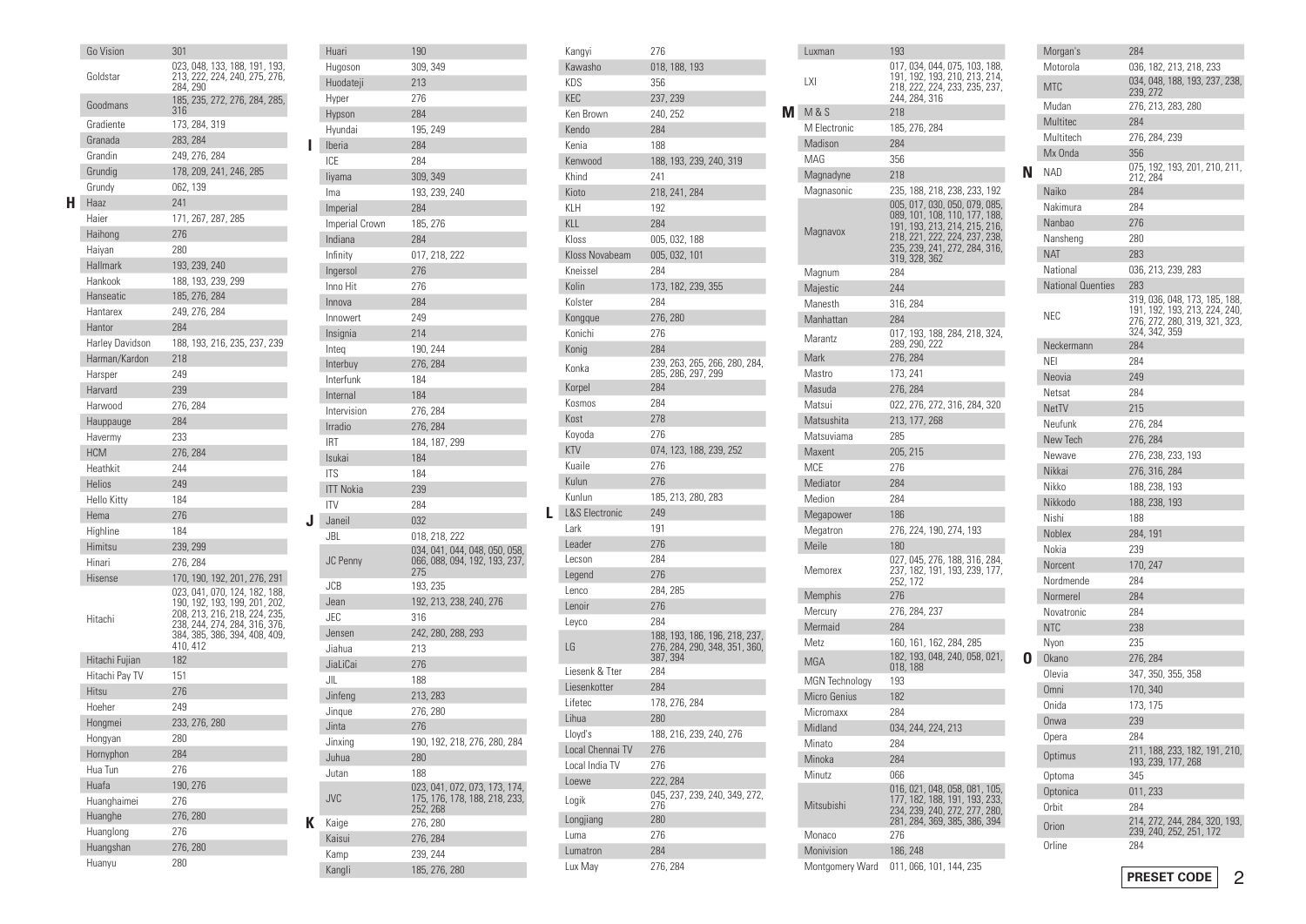|    | Go Vision       | 301                                                            |
|----|-----------------|----------------------------------------------------------------|
|    | Goldstar        | 023, 048, 133, 188, 191, 193,<br>213, 222, 224, 240, 275, 276, |
|    |                 | 284, 290                                                       |
|    | Goodmans        | 185, 235, 272, 276, 284, 285,                                  |
|    |                 | 316                                                            |
|    | Gradiente       | 173, 284, 319                                                  |
|    | Granada         | 283, 284                                                       |
|    | Grandin         | 249, 276, 284                                                  |
|    | Grundig         | 178, 209, 241, 246, 285                                        |
|    | Grundy          | 062, 139                                                       |
| н. | Haaz            | 241                                                            |
|    | Haier           | 171, 267, 287, 285                                             |
|    | Haihong         | 276                                                            |
|    | Haiyan          | 280                                                            |
|    | Hallmark        | 193, 239, 240                                                  |
|    | Hankook         | 188, 193, 239, 299                                             |
|    | Hanseatic       | 185, 276, 284                                                  |
|    | Hantarex        | 249, 276, 284                                                  |
|    | Hantor          | 284                                                            |
|    | Harley Davidson |                                                                |
|    |                 | 188, 193, 216, 235, 237, 239                                   |
|    | Harman/Kardon   | 218                                                            |
|    | Harsper         | 249                                                            |
|    | Harvard         | 239                                                            |
|    | Harwood         | 276, 284                                                       |
|    | Hauppauge       | 284                                                            |
|    | Havermy         | 233                                                            |
|    | <b>HCM</b>      | 276, 284                                                       |
|    | Heathkit        | 244                                                            |
|    | <b>Helios</b>   | 249                                                            |
|    | Hello Kitty     | 184                                                            |
|    | Hema            | 276                                                            |
|    | Highline        | 184                                                            |
|    | Himitsu         | 239, 299                                                       |
|    | Hinari          | 276, 284                                                       |
|    | Hisense         | 170, 190, 192, 201, 276, 291                                   |
|    |                 | 023, 041, 070, 124, 182, 188,                                  |
|    |                 | 190, 192, 193, 199, 201, 202,<br>208, 213, 216, 218, 224, 235, |
|    | Hitachi         | 238, 244, 274, 284, 316, 376,                                  |
|    |                 | 384, 385, 386, 394, 408, 409,                                  |
|    |                 | 410, 412                                                       |
|    | Hitachi Fujian  | 182                                                            |
|    | Hitachi Pay TV  | 151                                                            |
|    | Hitsu           | 276                                                            |
|    | Hoeher          | 249                                                            |
|    | Hongmei         | 233, 276, 280                                                  |
|    | Hongyan         | 280                                                            |
|    | Hornyphon       | 284                                                            |
|    | Hua Tun         | 276                                                            |
|    | Huafa           | 190, 276                                                       |
|    | Huanghaimei     | 276                                                            |
|    | Huanghe         | 276, 280                                                       |
|    | Huanglong       | 276                                                            |
|    | Huangshan       | 276, 280                                                       |
|    | Huanyu          | 280                                                            |
|    |                 |                                                                |

|   | Huari            | 190                                                                        |
|---|------------------|----------------------------------------------------------------------------|
|   | Hugoson          | 309, 349                                                                   |
|   | Huodateji        | 213                                                                        |
|   | Hyper            | 276                                                                        |
|   | Hypson           | 284                                                                        |
|   | Hyundai          | 195, 249                                                                   |
| ı | Iberia           | 284                                                                        |
|   | ICE              | 284                                                                        |
|   | liyama           | 309, 349                                                                   |
|   | Ima              | 193, 239, 240                                                              |
|   | Imperial         | 284                                                                        |
|   | Imperial Crown   | 185, 276                                                                   |
|   | Indiana          | 284                                                                        |
|   | Infinity         | 017, 218, 222                                                              |
|   | Ingersol         | 276                                                                        |
|   | Inno Hit         | 276                                                                        |
|   | Innova           | 284                                                                        |
|   | Innowert         | 249                                                                        |
|   | Insignia         | 214                                                                        |
|   | Integ            | 190, 244                                                                   |
|   | Interbuy         | 276, 284                                                                   |
|   | Interfunk        | 184                                                                        |
|   | Internal         | 184                                                                        |
|   | Intervision      | 276, 284                                                                   |
|   | Irradio          | 276, 284                                                                   |
|   | <b>IRT</b>       | 184, 187, 299                                                              |
|   | Isukai           | 184                                                                        |
|   | <b>ITS</b>       | 184                                                                        |
|   | <b>ITT Nokia</b> | 239                                                                        |
|   | <b>ITV</b>       | 284                                                                        |
| J | Janeil           | 032                                                                        |
|   | JBL              | 018, 218, 222                                                              |
|   | JC Penny         | 034, 041, 044, 048, 050, 058,<br>066, 088, 094, 192, 193, 237,<br>275      |
|   | JCB              | 193, 235                                                                   |
|   | Jean             | 192, 213, 238, 240, 276                                                    |
|   | JEC              | 316                                                                        |
|   | Jensen           | 242, 280, 288, 293                                                         |
|   | Jiahua           | 213                                                                        |
|   | JiaLiCai         | 276                                                                        |
|   | JIL              | 188                                                                        |
|   | Jinfeng          | 213, 283                                                                   |
|   | Jinque           | 276, 280                                                                   |
|   | Jinta            | 276                                                                        |
|   | Jinxing          | 190, 192, 218, 276, 280, 284                                               |
|   | Juhua            | 280                                                                        |
|   | Jutan            | 188                                                                        |
|   | <b>JVC</b>       | 023, 041, 072, 073, 173, 174,<br>175, 176, 178, 188, 218, 233,<br>252, 268 |
| K | Kaige            | 276, 280                                                                   |
|   | Kaisui           | 276, 284                                                                   |
|   | Kamp             | 239, 244                                                                   |
|   | Kangli           | 185, 276, 280                                                              |

|   | Kangyi                    | 276                                  |
|---|---------------------------|--------------------------------------|
|   | Kawasho                   | 018, 188, 193                        |
|   | KDS                       | 356                                  |
|   | <b>KEC</b>                | 237, 239                             |
|   | Ken Brown                 | 240, 252                             |
|   | Kendo                     | 284                                  |
|   | Kenia                     | 188                                  |
|   | Kenwood                   | 188, 193, 239, 240, 319              |
|   | Khind                     | 241                                  |
|   | Kioto                     | 218, 241, 284                        |
|   | KLH                       | 192                                  |
|   | KLL                       | 284                                  |
|   | Kloss                     | 005, 032, 188                        |
|   | Kloss Novabeam            | 005, 032, 101                        |
|   | Kneissel                  | 284                                  |
|   | Kolin                     | 173, 182, 239, 355                   |
|   | Kolster                   | 284                                  |
|   | Kongque                   | 276, 280                             |
|   | Konichi                   | 276                                  |
|   | Konig                     | 284                                  |
|   |                           | 239, 263, 265, 266, 280, 284,        |
|   | Konka                     | 285, 286, 297, 299                   |
|   | Korpel                    | 284                                  |
|   | Kosmos                    | 284                                  |
|   | Kost                      | 278                                  |
|   | Koyoda                    | 276                                  |
|   | <b>KTV</b>                | 074, 123, 188, 239, 252              |
|   | Kuaile                    | 276                                  |
|   | Kulun                     | 276                                  |
|   | Kunlun                    | 185, 213, 280, 283                   |
| L | <b>L&amp;S Electronic</b> | 249                                  |
|   | Lark                      | 191                                  |
|   | Leader                    | 276                                  |
|   | Lecson                    | 284                                  |
|   | Legend                    | 276                                  |
|   | Lenco                     | 284, 285                             |
|   | Lenoir                    | 276                                  |
|   | Leyco                     | 284                                  |
|   |                           | 188, 193, 186, 196, 218, 237,        |
|   | LG                        | 276, 284, 290, 348, 351, 360,        |
|   |                           | 387, 394                             |
|   | Liesenk & Tter            | 284                                  |
|   | Liesenkotter              | 284                                  |
|   | Lifetec                   | 178, 276, 284                        |
|   | Lihua                     | 280                                  |
|   | Lloyd's                   | 188, 216, 239, 240, 276              |
|   | Local Chennai TV          | 276                                  |
|   | Local India TV            | 276                                  |
|   | Loewe                     | 222, 284                             |
|   | Logik                     | 045, 237, 239, 240, 349, 272,<br>276 |
|   |                           |                                      |
|   |                           |                                      |
|   | Longjiang                 | 280                                  |
|   | Luma                      | 276                                  |
|   | Lumatron<br>Lux May       | 284<br>276, 284                      |

| Luxman                | 193                                                                                                                                                                                |   |
|-----------------------|------------------------------------------------------------------------------------------------------------------------------------------------------------------------------------|---|
| LXI                   | 017, 034, 044, 075, 103, 188,<br>191, 192, 193, 210, 213, 214,<br>218, 222, 224, 233, 235, 237,<br>244, 284, 316                                                                   |   |
| <b>M</b> M&S          | 218                                                                                                                                                                                |   |
| M Electronic          | 185, 276, 284                                                                                                                                                                      |   |
| Madison               | 284                                                                                                                                                                                |   |
| MAG                   | 356                                                                                                                                                                                |   |
| Magnadyne             | 218                                                                                                                                                                                | N |
| Magnasonic            | 235, 188, 218, 238, 233, 192                                                                                                                                                       |   |
| Magnavox              | 005, 017, 030, 050, 079, 085,<br>089, 101, 108, 110, 177, 188,<br>191, 193, 213, 214, 215, 216,<br>218, 221, 222, 224, 237, 238,<br>235, 239, 241, 272, 284, 316,<br>319, 328, 362 |   |
| Magnum                | 284                                                                                                                                                                                |   |
| Majestic              | 244                                                                                                                                                                                |   |
| Manesth               | 316, 284                                                                                                                                                                           |   |
| Manhattan             | 284                                                                                                                                                                                |   |
| Marantz               | 017, 193, 188, 284, 218, 324,<br>289, 290, 222                                                                                                                                     |   |
| Mark                  | 276, 284                                                                                                                                                                           |   |
| Mastro                | 173, 241                                                                                                                                                                           |   |
| Masuda                | 276, 284                                                                                                                                                                           |   |
| Matsui                | 022, 276, 272, 316, 284, 320                                                                                                                                                       |   |
| Matsushita            | 213, 177, 268                                                                                                                                                                      |   |
| Matsuviama            | 285                                                                                                                                                                                |   |
| Maxent                | 205, 215                                                                                                                                                                           |   |
| <b>MCE</b>            | 276                                                                                                                                                                                |   |
| Mediator              | 284                                                                                                                                                                                |   |
| Medion                | 284                                                                                                                                                                                |   |
| Megapower             | 186                                                                                                                                                                                |   |
| Megatron              | 276, 224, 190, 274, 193                                                                                                                                                            |   |
| Meile                 | 180                                                                                                                                                                                |   |
| Memorex               | 027, 045, 276, 188, 316, 284,<br>237, 182, 191, 193, 239, 177,<br>252, 172                                                                                                         |   |
| Memphis               | 276                                                                                                                                                                                |   |
| Mercury               | 276, 284, 237                                                                                                                                                                      |   |
| Mermaid               | 284                                                                                                                                                                                |   |
| Metz                  | 160, 161, 162, 284, 285                                                                                                                                                            |   |
| <b>MGA</b>            | 182, 193, 048, 240, 058, 021,<br>018, 188                                                                                                                                          | O |
| <b>MGN</b> Technology | 193                                                                                                                                                                                |   |
| <b>Micro Genius</b>   | 182                                                                                                                                                                                |   |
| Micromaxx             | 284                                                                                                                                                                                |   |
| Midland               | 034, 244, 224, 213                                                                                                                                                                 |   |
| Minato                | 284                                                                                                                                                                                |   |
| Minoka                | 284                                                                                                                                                                                |   |
| Minutz                | 066                                                                                                                                                                                |   |
| Mitsubishi            | 016, 021, 048, 058, 081, 105,<br>177, 182, 188, 191, 193, 233,<br>234, 239, 240, 272, 277, 280,<br>281, 284, 369, 385, 386, 394                                                    |   |
| Monaco                | 276                                                                                                                                                                                |   |
| Monivision            | 186, 248                                                                                                                                                                           |   |
| Montgomery Ward       | 011, 066, 101, 144, 235                                                                                                                                                            |   |

| 036, 182, 213, 218, 233<br>Motorola<br>034, 048, 188, 193, 237, 238,<br><b>MTC</b><br>239, 272<br>Mudan<br>276, 213, 283, 280<br>Multitec<br>284<br>Multitech<br>276, 284, 239<br>Mx Onda<br>356<br>075, 192, 193, 201, 210, 211,<br><b>NAD</b><br>212, 284<br>Naiko<br>284<br>Nakimura<br>284<br>Nanbao<br>276<br>Nansheng<br>280<br><b>NAT</b><br>283<br>National<br>036, 213, 239, 283<br><b>National Quenties</b><br>283<br>319, 036, 048, 173, 185, 188,<br>191, 192, 193, 213, 224, 240,<br>276, 272, 280, 319, 321, 323,<br>NEC<br>324, 342, 359<br>Neckermann<br>284<br>NEI<br>284<br>Neovia<br>249<br>Netsat<br>284<br><b>NetTV</b><br>215<br>Neufunk<br>276, 284<br>New Tech<br>276, 284<br>Newave<br>276, 238, 233, 193<br>Nikkai<br>276, 316, 284<br>Nikko<br>188, 238, 193<br>Nikkodo<br>188, 238, 193 |
|---------------------------------------------------------------------------------------------------------------------------------------------------------------------------------------------------------------------------------------------------------------------------------------------------------------------------------------------------------------------------------------------------------------------------------------------------------------------------------------------------------------------------------------------------------------------------------------------------------------------------------------------------------------------------------------------------------------------------------------------------------------------------------------------------------------------|
|                                                                                                                                                                                                                                                                                                                                                                                                                                                                                                                                                                                                                                                                                                                                                                                                                     |
|                                                                                                                                                                                                                                                                                                                                                                                                                                                                                                                                                                                                                                                                                                                                                                                                                     |
|                                                                                                                                                                                                                                                                                                                                                                                                                                                                                                                                                                                                                                                                                                                                                                                                                     |
|                                                                                                                                                                                                                                                                                                                                                                                                                                                                                                                                                                                                                                                                                                                                                                                                                     |
|                                                                                                                                                                                                                                                                                                                                                                                                                                                                                                                                                                                                                                                                                                                                                                                                                     |
|                                                                                                                                                                                                                                                                                                                                                                                                                                                                                                                                                                                                                                                                                                                                                                                                                     |
|                                                                                                                                                                                                                                                                                                                                                                                                                                                                                                                                                                                                                                                                                                                                                                                                                     |
|                                                                                                                                                                                                                                                                                                                                                                                                                                                                                                                                                                                                                                                                                                                                                                                                                     |
|                                                                                                                                                                                                                                                                                                                                                                                                                                                                                                                                                                                                                                                                                                                                                                                                                     |
|                                                                                                                                                                                                                                                                                                                                                                                                                                                                                                                                                                                                                                                                                                                                                                                                                     |
|                                                                                                                                                                                                                                                                                                                                                                                                                                                                                                                                                                                                                                                                                                                                                                                                                     |
|                                                                                                                                                                                                                                                                                                                                                                                                                                                                                                                                                                                                                                                                                                                                                                                                                     |
|                                                                                                                                                                                                                                                                                                                                                                                                                                                                                                                                                                                                                                                                                                                                                                                                                     |
|                                                                                                                                                                                                                                                                                                                                                                                                                                                                                                                                                                                                                                                                                                                                                                                                                     |
|                                                                                                                                                                                                                                                                                                                                                                                                                                                                                                                                                                                                                                                                                                                                                                                                                     |
|                                                                                                                                                                                                                                                                                                                                                                                                                                                                                                                                                                                                                                                                                                                                                                                                                     |
|                                                                                                                                                                                                                                                                                                                                                                                                                                                                                                                                                                                                                                                                                                                                                                                                                     |
|                                                                                                                                                                                                                                                                                                                                                                                                                                                                                                                                                                                                                                                                                                                                                                                                                     |
|                                                                                                                                                                                                                                                                                                                                                                                                                                                                                                                                                                                                                                                                                                                                                                                                                     |
|                                                                                                                                                                                                                                                                                                                                                                                                                                                                                                                                                                                                                                                                                                                                                                                                                     |
|                                                                                                                                                                                                                                                                                                                                                                                                                                                                                                                                                                                                                                                                                                                                                                                                                     |
|                                                                                                                                                                                                                                                                                                                                                                                                                                                                                                                                                                                                                                                                                                                                                                                                                     |
|                                                                                                                                                                                                                                                                                                                                                                                                                                                                                                                                                                                                                                                                                                                                                                                                                     |
|                                                                                                                                                                                                                                                                                                                                                                                                                                                                                                                                                                                                                                                                                                                                                                                                                     |
|                                                                                                                                                                                                                                                                                                                                                                                                                                                                                                                                                                                                                                                                                                                                                                                                                     |
|                                                                                                                                                                                                                                                                                                                                                                                                                                                                                                                                                                                                                                                                                                                                                                                                                     |
| Nishi<br>188                                                                                                                                                                                                                                                                                                                                                                                                                                                                                                                                                                                                                                                                                                                                                                                                        |
| <b>Noblex</b><br>284, 191                                                                                                                                                                                                                                                                                                                                                                                                                                                                                                                                                                                                                                                                                                                                                                                           |
| Nokia<br>239                                                                                                                                                                                                                                                                                                                                                                                                                                                                                                                                                                                                                                                                                                                                                                                                        |
| 170, 247<br>Norcent                                                                                                                                                                                                                                                                                                                                                                                                                                                                                                                                                                                                                                                                                                                                                                                                 |
| Nordmende<br>284                                                                                                                                                                                                                                                                                                                                                                                                                                                                                                                                                                                                                                                                                                                                                                                                    |
| Normerel<br>284                                                                                                                                                                                                                                                                                                                                                                                                                                                                                                                                                                                                                                                                                                                                                                                                     |
| Novatronic<br>284                                                                                                                                                                                                                                                                                                                                                                                                                                                                                                                                                                                                                                                                                                                                                                                                   |
| <b>NTC</b><br>238                                                                                                                                                                                                                                                                                                                                                                                                                                                                                                                                                                                                                                                                                                                                                                                                   |
| Nyon<br>235                                                                                                                                                                                                                                                                                                                                                                                                                                                                                                                                                                                                                                                                                                                                                                                                         |
| 276, 284<br>Okano                                                                                                                                                                                                                                                                                                                                                                                                                                                                                                                                                                                                                                                                                                                                                                                                   |
|                                                                                                                                                                                                                                                                                                                                                                                                                                                                                                                                                                                                                                                                                                                                                                                                                     |
| 347, 350, 355, 358<br>Olevia                                                                                                                                                                                                                                                                                                                                                                                                                                                                                                                                                                                                                                                                                                                                                                                        |
| <b>Omni</b><br>170, 340                                                                                                                                                                                                                                                                                                                                                                                                                                                                                                                                                                                                                                                                                                                                                                                             |
| 173, 175<br>Onida                                                                                                                                                                                                                                                                                                                                                                                                                                                                                                                                                                                                                                                                                                                                                                                                   |
| Onwa<br>239                                                                                                                                                                                                                                                                                                                                                                                                                                                                                                                                                                                                                                                                                                                                                                                                         |
| Opera<br>284                                                                                                                                                                                                                                                                                                                                                                                                                                                                                                                                                                                                                                                                                                                                                                                                        |
| Optimus                                                                                                                                                                                                                                                                                                                                                                                                                                                                                                                                                                                                                                                                                                                                                                                                             |
| 211, 188, 233, 182, 191, 210,<br>193, 239, 177, 268<br>345<br>Optoma                                                                                                                                                                                                                                                                                                                                                                                                                                                                                                                                                                                                                                                                                                                                                |
| Optonica<br>011, 233                                                                                                                                                                                                                                                                                                                                                                                                                                                                                                                                                                                                                                                                                                                                                                                                |
| Orbit<br>284                                                                                                                                                                                                                                                                                                                                                                                                                                                                                                                                                                                                                                                                                                                                                                                                        |
| 214, 272, 244, 284, 320, 193,<br>Orion<br>239, 240, 252, 251, 172                                                                                                                                                                                                                                                                                                                                                                                                                                                                                                                                                                                                                                                                                                                                                   |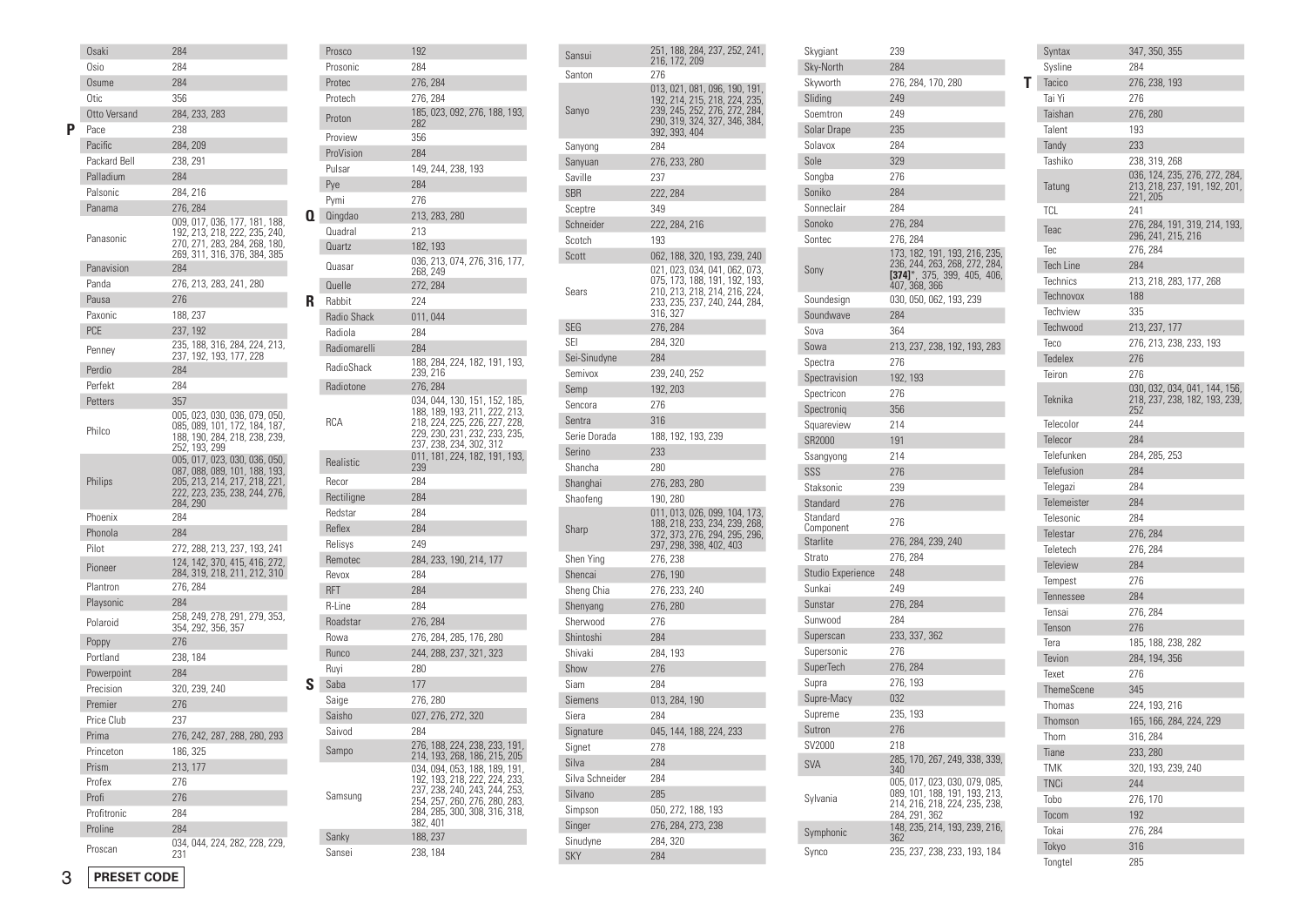|   | Osaki        | 284                                                                                                                                          |
|---|--------------|----------------------------------------------------------------------------------------------------------------------------------------------|
|   | Osio         | 284                                                                                                                                          |
|   | Osume        | 284                                                                                                                                          |
|   | Otic         | 356                                                                                                                                          |
|   | Otto Versand | 284, 233, 283                                                                                                                                |
| Р | Pace         | 238                                                                                                                                          |
|   | Pacific      | 284, 209                                                                                                                                     |
|   | Packard Bell | 238, 291                                                                                                                                     |
|   | Palladium    | 284                                                                                                                                          |
|   | Palsonic     | 284, 216                                                                                                                                     |
|   | Panama       | 276, 284                                                                                                                                     |
|   | Panasonic    | 009, 017, 036, 177, 181, 188,<br>192, 213, 218, 222, 235, 240,<br>270, 271, 283, 284, 268, 180,<br>269, 311, 316, 376, 384, 385              |
|   | Panavision   | 284                                                                                                                                          |
|   | Panda        | 276, 213, 283, 241, 280                                                                                                                      |
|   | Pausa        | 276                                                                                                                                          |
|   | Paxonic      | 188, 237                                                                                                                                     |
|   | <b>PCE</b>   | 237, 192                                                                                                                                     |
|   | Penney       | 235, 188, 316, 284, 224, 213,<br>237, 192, 193, 177, 228                                                                                     |
|   | Perdio       | 284                                                                                                                                          |
|   | Perfekt      | 284                                                                                                                                          |
|   | Petters      | 357                                                                                                                                          |
|   | Philco       | 005, 023, 030, 036, 079, 050,<br>085, 089, 101, 172, 184, 187,<br>188, 190, 284, 218, 238, 239,<br>252, 193, 299                             |
|   | Philips      | 005, 017, 023, 030, 036, 050,<br>087, 088, 089, 101, 188, 193,<br>205, 213, 214, 217, 218, 221,<br>222, 223, 235, 238, 244, 276,<br>284, 290 |
|   | Phoenix      | 284                                                                                                                                          |
|   | Phonola      | 284                                                                                                                                          |
|   | Pilot        | 272, 288, 213, 237, 193, 241                                                                                                                 |
|   | Pioneer      | 124, 142, 370, 415, 416, 272,<br>284, 319, 218, 211, 212, 310                                                                                |
|   | Plantron     | 276, 284                                                                                                                                     |
|   | Playsonic    | 284                                                                                                                                          |
|   | Polaroid     | 258, 249, 278, 291, 279, 353,<br>354, 292, 356, 357                                                                                          |
|   | Poppy        | 276                                                                                                                                          |
|   | Portland     | 238, 184                                                                                                                                     |
|   | Powerpoint   | 284                                                                                                                                          |
|   | Precision    | 320, 239, 240                                                                                                                                |
|   | Premier      | 276                                                                                                                                          |
|   | Price Club   | 237                                                                                                                                          |
|   | Prima        | 276, 242, 287, 288, 280, 293                                                                                                                 |
|   | Princeton    | 186, 325                                                                                                                                     |
|   | Prism        | 213, 177                                                                                                                                     |
|   | Profex       | 276                                                                                                                                          |
|   | Profi        | 276                                                                                                                                          |
|   | Profitronic  | 284                                                                                                                                          |
|   | Proline      | 284                                                                                                                                          |
|   | Proscan      | 034, 044, 224, 282, 228, 229,<br>231                                                                                                         |
|   |              |                                                                                                                                              |

|    | Prosco            | 192                                                                                                                                                                           |
|----|-------------------|-------------------------------------------------------------------------------------------------------------------------------------------------------------------------------|
|    | Prosonic          | 284                                                                                                                                                                           |
|    | Protec            | 276, 284                                                                                                                                                                      |
|    | Protech           | 276, 284                                                                                                                                                                      |
|    | Proton            | 185, 023, 092, 276, 188, 193,<br>282                                                                                                                                          |
|    | Proview           | 356                                                                                                                                                                           |
|    | ProVision         | 284                                                                                                                                                                           |
|    | Pulsar            | 149, 244, 238, 193                                                                                                                                                            |
|    | Pye               | 284                                                                                                                                                                           |
|    | Pymi              | 276                                                                                                                                                                           |
| Q. | Qingdao           | 213, 283, 280                                                                                                                                                                 |
|    | Quadral           | 213                                                                                                                                                                           |
|    | Quartz            | 182, 193                                                                                                                                                                      |
|    | Quasar            | 036, 213, 074, 276, 316, 177,<br>268, 249                                                                                                                                     |
|    | Quelle            | 272, 284                                                                                                                                                                      |
| R  | Rabbit            | 224                                                                                                                                                                           |
|    | Radio Shack       | 011,044                                                                                                                                                                       |
|    | Radiola           | 284                                                                                                                                                                           |
|    | Radiomarelli      | 284                                                                                                                                                                           |
|    | <b>RadioShack</b> | 188, 284, 224, 182, 191, 193,<br>239, 216                                                                                                                                     |
|    | Radiotone         | 276, 284                                                                                                                                                                      |
|    | <b>RCA</b>        | 034, 044, 130, 151, 152, 185,<br>188, 189, 193, 211, 222, 213,<br>218, 224, 225, 226, 227, 228,<br>229, 230, 231, 232, 233, 235,<br>237, 238, 234, 302, 312                   |
|    | Realistic         | 011, 181, 224, 182, 191, 193,                                                                                                                                                 |
|    |                   | 239                                                                                                                                                                           |
|    | Recor             | 284                                                                                                                                                                           |
|    | Rectiligne        | 284                                                                                                                                                                           |
|    | Redstar           | 284                                                                                                                                                                           |
|    | Reflex            | 284                                                                                                                                                                           |
|    | Relisys           | 249                                                                                                                                                                           |
|    | Remotec           | 284, 233, 190, 214, 177                                                                                                                                                       |
|    | Revox             | 284                                                                                                                                                                           |
|    | <b>RFT</b>        | 284                                                                                                                                                                           |
|    | R-Line            | 284                                                                                                                                                                           |
|    | Roadstar          | 276, 284                                                                                                                                                                      |
|    | Rowa              | 276, 284, 285, 176, 280                                                                                                                                                       |
|    | Runco             | 244, 288, 237, 321, 323                                                                                                                                                       |
|    | Ruyi              | 280                                                                                                                                                                           |
| S  | Saba              | 177                                                                                                                                                                           |
|    | Saige             | 276, 280                                                                                                                                                                      |
|    | Saisho            | 027, 276, 272, 320                                                                                                                                                            |
|    | Saivod            | 284                                                                                                                                                                           |
|    | Sampo             | 276, 188, 224, 238, 233, 191,<br>214, 193, 268, 186, 215, 205                                                                                                                 |
|    | Samsung           | 034, 094, 053, 188, 189, 191,<br>192, 193, 218, 222, 224, 233,<br>237, 238, 240, 243, 244, 253,<br>254, 257, 260, 276, 280, 283,<br>284, 285, 300, 308, 316, 318,<br>382, 401 |
|    | Sanky             | 188, 237                                                                                                                                                                      |

| Sansui          | 251, 188, 284, 237, 252, 241,<br>216, 172, 209                                                                                                    |
|-----------------|---------------------------------------------------------------------------------------------------------------------------------------------------|
| Santon          | 276                                                                                                                                               |
| Sanyo           | 013, 021, 081, 096, 190, 191,<br>192, 214, 215, 218, 224, 235,<br>239, 245, 252, 276, 272, 284,<br>290, 319, 324, 327, 346, 384,<br>392, 393, 404 |
| Sanyong         | 284                                                                                                                                               |
| Sanyuan         | 276, 233, 280                                                                                                                                     |
| Saville         | 237                                                                                                                                               |
| <b>SBR</b>      | 222, 284                                                                                                                                          |
| Sceptre         | 349                                                                                                                                               |
| Schneider       | 222, 284, 216                                                                                                                                     |
| Scotch          | 193                                                                                                                                               |
| Scott           | 062, 188, 320, 193, 239, 240                                                                                                                      |
| Sears           | 021, 023, 034, 041, 062, 073,<br>075, 173, 188, 191, 192, 193,<br>210, 213, 218, 214, 216, 224,<br>233, 235, 237, 240, 244, 284,<br>316, 327      |
| <b>SEG</b>      | 276, 284                                                                                                                                          |
| SEI             | 284, 320                                                                                                                                          |
| Sei-Sinudyne    | 284                                                                                                                                               |
| Semivox         | 239, 240, 252                                                                                                                                     |
| Semp            | 192, 203                                                                                                                                          |
| Sencora         | 276                                                                                                                                               |
| Sentra          | 316                                                                                                                                               |
| Serie Dorada    | 188, 192, 193, 239                                                                                                                                |
| Serino          | 233                                                                                                                                               |
| Shancha         | 280                                                                                                                                               |
| Shanghai        | 276, 283, 280                                                                                                                                     |
| Shaofeng        | 190, 280                                                                                                                                          |
| Sharp           | 011, 013, 026, 099, 104, 173,<br>188, 218, 233, 234, 239, 268,<br>372, 373, 276, 294, 295, 296,<br>297, 298, 398, 402, 403                        |
| Shen Ying       | 276, 238                                                                                                                                          |
| Shencai         | 276, 190                                                                                                                                          |
| Sheng Chia      | 276, 233, 240                                                                                                                                     |
| Shenyang        | 276, 280                                                                                                                                          |
| Sherwood        | 276                                                                                                                                               |
| Shintoshi       | 284                                                                                                                                               |
| Shivaki         | 284, 193                                                                                                                                          |
| Show            | 276                                                                                                                                               |
| Siam            | 284                                                                                                                                               |
| Siemens         | 013, 284, 190                                                                                                                                     |
| Siera           | 284                                                                                                                                               |
| Signature       | 045, 144, 188, 224, 233                                                                                                                           |
| Signet          | 278                                                                                                                                               |
| Silva           | 284                                                                                                                                               |
| Silva Schneider | 284                                                                                                                                               |
| Silvano         | 285                                                                                                                                               |
| Simpson         | 050, 272, 188, 193                                                                                                                                |
| Singer          | 276, 284, 273, 238                                                                                                                                |
| Sinudyne        | 284, 320                                                                                                                                          |
| <b>SKY</b>      | 284                                                                                                                                               |

| Skygiant                 | 239                                                                                                              |
|--------------------------|------------------------------------------------------------------------------------------------------------------|
|                          | 284                                                                                                              |
| Sky-North                |                                                                                                                  |
| Skyworth                 | 276, 284, 170, 280                                                                                               |
| Sliding                  | 249                                                                                                              |
| Soemtron                 | 249                                                                                                              |
| Solar Drape              | 235                                                                                                              |
| Solavox                  | 284                                                                                                              |
| Sole                     | 329                                                                                                              |
| Songba                   | 276                                                                                                              |
| Soniko                   | 284                                                                                                              |
| Sonneclair               | 284                                                                                                              |
| Sonoko                   | 276, 284                                                                                                         |
| Sontec                   | 276, 284                                                                                                         |
| Sony                     | 173, 182, 191, 193, 216, 235, 236, 244, 263, 268, 272, 284, 274, 375, 399, 405, 406,<br>407, 368, 366            |
| Soundesign               | 030, 050, 062, 193, 239                                                                                          |
| Soundwave                | 284                                                                                                              |
| Sova                     | 364                                                                                                              |
| Sowa                     | 213, 237, 238, 192, 193, 283                                                                                     |
| Spectra                  | 276                                                                                                              |
| Spectravision            | 192, 193                                                                                                         |
| Spectricon               | 276                                                                                                              |
| Spectroniq               | 356                                                                                                              |
| Squareview               | 214                                                                                                              |
| <b>SR2000</b>            | 191                                                                                                              |
| Ssangyong                | 214                                                                                                              |
| SSS                      | 276                                                                                                              |
| Staksonic                | 239                                                                                                              |
| Standard                 | 276                                                                                                              |
| Standard<br>Component    | 276                                                                                                              |
| <b>Starlite</b>          | 276, 284, 239, 240                                                                                               |
| Strato                   | 276, 284                                                                                                         |
| <b>Studio Experience</b> | 248                                                                                                              |
| Sunkai                   | 249                                                                                                              |
| Sunstar                  |                                                                                                                  |
|                          | 276, 284                                                                                                         |
| Sunwood                  | 284                                                                                                              |
| Superscan                | 233, 337, 362                                                                                                    |
| Supersonic               | 276                                                                                                              |
| <b>SuperTech</b>         | 276, 284                                                                                                         |
| Supra                    | 276, 193                                                                                                         |
| Supre-Macy               | 032                                                                                                              |
| Supreme                  | 235, 193                                                                                                         |
| Sutron                   | 276                                                                                                              |
| SV2000                   | 218                                                                                                              |
| <b>SVA</b>               | 285, 170, 267, 249, 338, 339,<br>340                                                                             |
| Sylvania                 | 005, 017, 023, 030, 079, 085,<br>089, 101, 188, 191, 193, 213,<br>214, 216, 218, 224, 235, 238,<br>284, 291, 362 |
| Symphonic                | 148, 235, 214, 193, 239, 216,                                                                                    |
|                          | 362                                                                                                              |
| Synco                    | 235, 237, 238, 233, 193, 184                                                                                     |

l.

| Syntax           | 347, 350, 355                                                              |
|------------------|----------------------------------------------------------------------------|
| Sysline          | 284                                                                        |
| Tacico           | 276, 238, 193                                                              |
| Tai Yi           | 276                                                                        |
| Taishan          | 276, 280                                                                   |
| Talent           | 193                                                                        |
| Tandy            | 233                                                                        |
| Tashiko          | 238, 319, 268                                                              |
| Tatung           | 036, 124, 235, 276, 272, 284,<br>213, 218, 237, 191, 192, 201,<br>221, 205 |
| TCL              | 241                                                                        |
| Teac             | 276, 284, 191, 319, 214, 193,<br>296, 241, 215, 216                        |
| Tec              | 276, 284                                                                   |
| <b>Tech Line</b> | 284                                                                        |
| Technics         | 213, 218, 283, 177, 268                                                    |
| Technovox        | 188                                                                        |
| Techview         | 335                                                                        |
| Techwood         | 213, 237, 177                                                              |
| Teco             | 276, 213, 238, 233, 193                                                    |
| Tedelex          | 276                                                                        |
| Teiron           | 276                                                                        |
| Teknika          | 030, 032, 034, 041, 144, 156,<br>218, 237, 238, 182, 193, 239,<br>252      |
| Telecolor        | 244                                                                        |
| Telecor          | 284                                                                        |
| Telefunken       | 284, 285, 253                                                              |
| Telefusion       | 284                                                                        |
| Telegazi         | 284                                                                        |
| Telemeister      | 284                                                                        |
| Telesonic        | 284                                                                        |
| Telestar         | 276, 284                                                                   |
| Teletech         | 276, 284                                                                   |
| Teleview         | 284                                                                        |
| Tempest          | 276                                                                        |
| Tennessee        | 284                                                                        |
| Tensai           | 276, 284                                                                   |
| Tenson           | 276                                                                        |
| Tera             | 185, 188, 238, 282                                                         |
| Tevion           | 284, 194, 356                                                              |
| Texet            | 276                                                                        |
| ThemeScene       | 345                                                                        |
| Thomas           | 224, 193, 216                                                              |
| Thomson          | 165, 166, 284, 224, 229                                                    |
| Thorn            | 316, 284                                                                   |
| Tiane            | 233, 280                                                                   |
| TMK              | 320, 193, 239, 240                                                         |
| <b>TNCi</b>      | 244                                                                        |
| Tobo             | 276, 170                                                                   |
| Tocom            | 192                                                                        |
| Tokai            | 276, 284                                                                   |
| Tokyo            | 316                                                                        |
| Tongtel          | 285                                                                        |
|                  |                                                                            |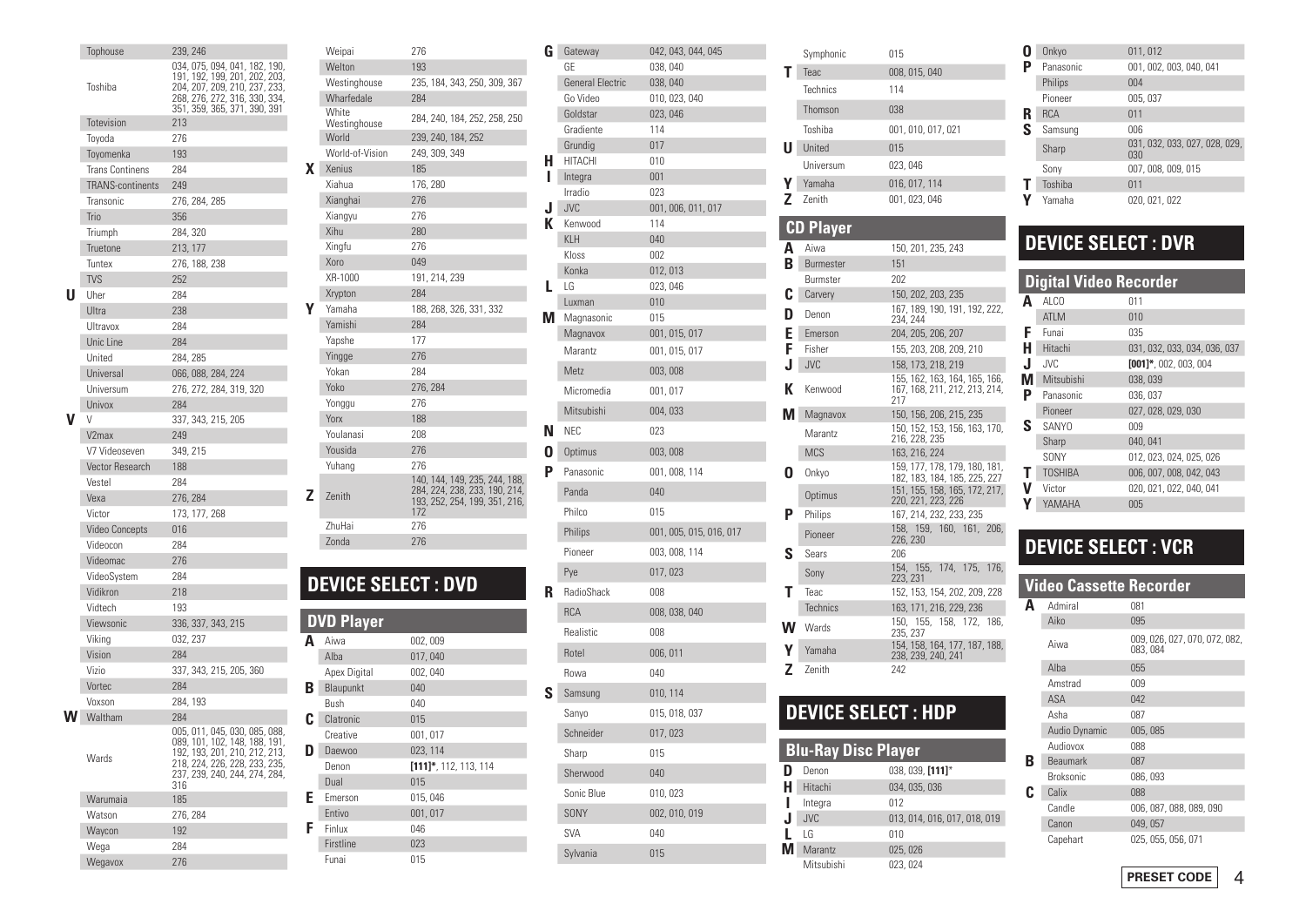|   | Tophouse                | 239, 246                                                       |
|---|-------------------------|----------------------------------------------------------------|
|   |                         | 034, 075, 094, 041, 182, 190,<br>191, 192, 199, 201, 202, 203, |
|   | Toshiba                 | 204, 207, 209, 210, 237, 233,                                  |
|   |                         | 268, 276, 272, 316, 330, 334,                                  |
|   |                         | 351, 359, 365, 371, 390, 391                                   |
|   | Totevision              | 213                                                            |
|   | Toyoda                  | 276                                                            |
|   | Toyomenka               | 193                                                            |
|   | <b>Trans Continens</b>  | 284                                                            |
|   | <b>TRANS-continents</b> | 249                                                            |
|   | Transonic               | 276, 284, 285                                                  |
|   | Trio                    | 356                                                            |
|   | Triumph                 | 284, 320                                                       |
|   | Truetone                | 213, 177                                                       |
|   | Tuntex                  | 276, 188, 238                                                  |
| U | <b>TVS</b>              | 252                                                            |
|   | Uher<br>Ultra           | 284<br>238                                                     |
|   |                         | 284                                                            |
|   | Ultravox                | 284                                                            |
|   | Unic Line<br>United     |                                                                |
|   | Universal               | 284, 285<br>066, 088, 284, 224                                 |
|   | Universum               | 276, 272, 284, 319, 320                                        |
|   | <b>Univox</b>           | 284                                                            |
|   | V                       | 337, 343, 215, 205                                             |
|   | V <sub>2</sub> max      | 249                                                            |
|   | V7 Videoseven           | 349, 215                                                       |
|   | Vector Research         | 188                                                            |
|   | Vestel                  | 284                                                            |
|   | Vexa                    | 276, 284                                                       |
|   | Victor                  | 173, 177, 268                                                  |
|   | <b>Video Concepts</b>   | 016                                                            |
|   | Videocon                | 284                                                            |
|   | Videomac                | 276                                                            |
|   | VideoSystem             | 284                                                            |
|   | Vidikron                | 218                                                            |
|   | Vidtech                 | 193                                                            |
|   | Viewsonic               | 336, 337, 343, 215                                             |
|   | Viking                  | 032, 237                                                       |
|   | Vision                  | 284                                                            |
|   | Vizio                   | 337, 343, 215, 205, 360                                        |
|   | <b>Vortec</b>           | 284                                                            |
|   | Voxson                  | 284, 193                                                       |
|   | Waltham                 | 284                                                            |
|   |                         | 005, 011, 045, 030, 085, 088,                                  |
|   | Wards                   | 089, 101, 102, 148, 188, 191,<br>192, 193, 201, 210, 212, 213, |
|   |                         | 218, 224, 226, 228, 233, 235,<br>237, 239, 240, 244, 274, 284, |
|   |                         | 316                                                            |
|   | Warumaia                | 185                                                            |
|   | Watson                  | 276, 284                                                       |
|   | Waycon                  | 192                                                            |
|   | Wega                    | 284                                                            |
|   | Wegavox                 | 276                                                            |

|    | Weipai                    | 276                                                            | G   |
|----|---------------------------|----------------------------------------------------------------|-----|
|    | Welton                    | 193                                                            |     |
|    | Westinghouse              | 235, 184, 343, 250, 309, 367                                   |     |
|    | Wharfedale                | 284                                                            |     |
|    | White                     | 284, 240, 184, 252, 258, 250                                   |     |
|    | Westinghouse<br>World     | 239, 240, 184, 252                                             |     |
|    | World-of-Vision           | 249, 309, 349                                                  |     |
| X. | Xenius                    | 185                                                            | н   |
|    | Xiahua                    | 176, 280                                                       | ı   |
|    | Xianghai                  | 276                                                            |     |
|    | Xiangyu                   | 276                                                            | J   |
|    | Xihu                      | 280                                                            | к   |
|    | Xingfu                    | 276                                                            |     |
|    | Xoro                      | 049                                                            |     |
|    | XR-1000                   | 191, 214, 239                                                  |     |
|    | Xrypton                   | 284                                                            | L   |
|    | Yamaha                    | 188, 268, 326, 331, 332                                        |     |
|    | Yamishi                   | 284                                                            | М   |
|    | Yapshe                    | 177                                                            |     |
|    | Yingge                    | 276                                                            |     |
|    | Yokan                     | 284                                                            |     |
|    | Yoko                      | 276, 284                                                       |     |
|    | Yonggu                    | 276                                                            |     |
|    | Yorx                      | 188                                                            |     |
|    | Youlanasi                 | 208                                                            | N   |
|    | Yousida                   | 276                                                            | 0   |
|    | Yuhang                    | 276                                                            | Ρ   |
|    |                           | 140, 144, 149, 235, 244, 188,<br>284, 224, 238, 233, 190, 214, |     |
| Z  | <b>Zenith</b>             | 193, 252, 254, 199, 351, 216,                                  |     |
|    | ZhuHai                    | 172<br>276                                                     |     |
|    | Zonda                     | 276                                                            |     |
|    |                           |                                                                |     |
|    |                           |                                                                |     |
|    | <b>DEVICE SELECT: DVD</b> |                                                                |     |
|    |                           |                                                                | R   |
|    | DVD<br><u>Player</u>      |                                                                |     |
|    | Aiwa                      |                                                                |     |
| A  | Alba                      | 002,009                                                        |     |
|    | Apex Digital              | 017,040<br>002,040                                             |     |
| B  | Blaupunkt                 | 040                                                            |     |
|    | Bush                      | 040                                                            | S l |
| C  | Clatronic                 | 015                                                            |     |
|    | Creative                  | 001, 017                                                       |     |
| D  | <b>Daewoo</b>             | 023, 114                                                       |     |
|    | Denon                     | $[111]$ *, 112, 113, 114                                       |     |
|    | Dual                      | 015                                                            |     |
| Ε  | Emerson                   | 015,046                                                        |     |
|    | <b>Entivo</b>             | 001 017                                                        |     |

046

023

015

 $F$  Finlux

Firstline

Funai

|    | G Gateway               | 042, 043, 044, 045      |
|----|-------------------------|-------------------------|
|    | GE                      | 038,040                 |
|    | <b>General Electric</b> | 038,040                 |
|    | Go Video<br>Goldstar    | 010, 023, 040           |
|    | Gradiente               | 023,046<br>114          |
|    | Grundig                 | 017                     |
| н. | <b>HITACHI</b>          | 010                     |
| L  | Integra                 | 001                     |
|    | Irradio                 | 023                     |
| J  | <b>JVC</b>              | 001, 006, 011, 017      |
|    | <b>K</b> Kenwood        | 114                     |
|    | <b>KLH</b>              | 040                     |
|    | Kloss                   | 002                     |
| L  | Konka<br>LG             | 012, 013<br>023, 046    |
|    | Luxman                  | 010                     |
| M  | Magnasonic              | 015                     |
|    | Magnavox                | 001, 015, 017           |
|    | <b>Marantz</b>          | 001, 015, 017           |
|    | Metz                    | 003,008                 |
|    | Micromedia              | 001, 017                |
|    | Mitsubishi              | 004,033                 |
| N  | <b>NEC</b>              | 023                     |
| 0  | Optimus                 | 003,008                 |
| Ρ  | Panasonic               | 001, 008, 114           |
|    | Panda                   | 040                     |
|    | Philco                  | 015                     |
|    | Philips                 | 001, 005, 015, 016, 017 |
|    | Pioneer                 | 003, 008, 114           |
|    | Pye                     | 017,023                 |
| R  | RadioShack              | 008                     |
|    | <b>RCA</b>              | 008, 038, 040           |
|    | Realistic               | 008                     |
|    | Rotel                   | 006, 011                |
|    | Rowa                    | 040                     |
| S  | Samsung                 | 010, 114                |
|    | Sanyo                   | 015, 018, 037           |
|    | Schneider               | 017, 023                |
|    | Sharp                   | 015                     |
|    | Sherwood                | 040                     |
|    | Sonic Blue              | 010, 023                |
|    | <b>SONY</b>             | 002, 010, 019           |
|    | <b>SVA</b>              | 040                     |
|    | Sylvania                | 015                     |

|    | Symphonic        | 015                                                                                 | O      |
|----|------------------|-------------------------------------------------------------------------------------|--------|
| Т  | Teac             | 008, 015, 040                                                                       | Р      |
|    | Technics         | 114                                                                                 |        |
|    | Thomson          | 038                                                                                 | R      |
|    | Toshiba          | 001, 010, 017, 021                                                                  | S      |
| UΙ | United           | 015                                                                                 |        |
|    | Universum        | 023, 046                                                                            |        |
| Υ  | Yamaha           | 016, 017, 114                                                                       | Τ      |
| Z  | Zenith           | 001, 023, 046                                                                       | Y      |
|    |                  |                                                                                     |        |
| CD | <b>Player</b>    |                                                                                     |        |
| A  | Aiwa             | 150, 201, 235, 243                                                                  | I      |
| B  | <b>Burmester</b> | 151                                                                                 |        |
|    | Burmster         | 202                                                                                 | Π      |
| C  | Carvery          | 150, 202, 203, 235<br>167, 189, 190, 191, 192, 222,                                 | Α      |
| D  | Denon            | 234, 244                                                                            |        |
| Е  | Emerson          | 204, 205, 206, 207                                                                  | F      |
| F  | Fisher           | 155, 203, 208, 209, 210                                                             | Н      |
| J  | <b>JVC</b>       | 158, 173, 218, 219                                                                  | J      |
| К  | Kenwood          | 155, 162, 163, 164, 165, 166,<br>167, 168, 211, 212, 213, 214,<br>217               | N<br>P |
| М  | Magnavox         | 150, 156, 206, 215, 235                                                             |        |
|    | Marantz          | 150, 152, 153, 156, 163, 170,<br>216, 228, 235                                      | S      |
|    | <b>MCS</b>       | 163, 216, 224                                                                       |        |
| O  | Onkyo            | 159, 177, 178, 179, 180, 181,                                                       | Τ      |
|    | Optimus          | 182, 183, 184, 185, 225, 227<br>151, 155, 158, 165, 172, 217,<br>220, 221, 223, 226 | V<br>γ |
| P  | Philips          | 167, 214, 232, 233, 235                                                             |        |
|    | Pioneer          | 158, 159, 160, 161,<br>206,<br>226, 230                                             |        |
| S  | Sears            | 206                                                                                 | Ī      |
|    | Sony             | 154, 155, 174, 175,<br>176.<br>223, 231                                             |        |
| Τ  | Teac             | 152, 153, 154, 202, 209, 228                                                        |        |
|    | <b>Technics</b>  | 163, 171, 216, 229, 236                                                             | l      |
| w  | Wards            | 155, 158, 172, 186,<br>150.<br>235, 237                                             |        |
| Υ  | Yamaha           | 154, 158, 164, 177, 187, 188,<br>238, 239, 240, 241                                 |        |

Z Zenith

# **DEVICE SELECT: HDP**

242

|   | <b>Blu-Ray Disc Player</b> |                              |
|---|----------------------------|------------------------------|
| D | Denon                      | 038, 039, [111]*             |
| Н | Hitachi                    | 034, 035, 036                |
|   | Integra                    | 012                          |
| J | <b>JVC</b>                 | 013, 014, 016, 017, 018, 019 |
|   | l G                        | 010                          |
| М | <b>Marantz</b>             | 025, 026                     |
|   | Mitsubishi                 | 023, 024                     |
|   |                            |                              |

|   | Onkyo      | 011,012                              |
|---|------------|--------------------------------------|
|   | Panasonic  | 001.002.003.040.041                  |
|   | Philips    | 004                                  |
|   | Pioneer    | 005, 037                             |
|   | <b>RCA</b> | 011                                  |
| ς | Samsung    | 006                                  |
|   | Sharp      | 031, 032, 033, 027, 028, 029,<br>030 |
|   | Sony       | 007, 008, 009, 015                   |
|   | Toshiba    | 011                                  |
|   | Yamaha     | 020, 021, 022                        |

# **DEVICE SELECT : DVR**

|    | <b>Digital Video Recorder</b> |                              |
|----|-------------------------------|------------------------------|
| Δ  | AI CO                         | 011                          |
|    | ATI <sub>M</sub>              | 010                          |
| F  | Funai                         | 035                          |
| н  | Hitachi                       | 031, 032, 033, 034, 036, 037 |
| J  | JVC.                          | $[001]$ *, 002, 003, 004     |
| VI | Mitsubishi                    | 038,039                      |
| P  | Panasonic                     | 036, 037                     |
|    | Pioneer                       | 027, 028, 029, 030           |
| S  | <b>SANYO</b>                  | 009                          |
|    | Sharp                         | 040, 041                     |
|    | SONY                          | 012, 023, 024, 025, 026      |
| Т  | <b>TOSHIBA</b>                | 006, 007, 008, 042, 043      |
| V  | Victor                        | 020, 021, 022, 040, 041      |
| γ  | YAMAHA                        | 005                          |

# **DEVICE SELECT : VCR**

|    | <b>Video Cassette Recorder</b> |                                           |
|----|--------------------------------|-------------------------------------------|
| Δ  | Admiral                        | 081                                       |
|    | Aiko                           | 095                                       |
|    | Aiwa                           | 009, 026, 027, 070, 072, 082,<br>083, 084 |
|    | Alba                           | 055                                       |
|    | Amstrad                        | 009                                       |
|    | <b>ASA</b>                     | 042                                       |
|    | Asha                           | 087                                       |
|    | Audio Dynamic                  | 005, 085                                  |
|    | Audiovox                       | 088                                       |
| R  | <b>Beaumark</b>                | 087                                       |
|    | <b>Broksonic</b>               | 086,093                                   |
| ſ. | Calix                          | 088                                       |
|    | Candle                         | 006, 087, 088, 089, 090                   |
|    | Canon                          | 049, 057                                  |
|    | Capehart                       | 025, 055, 056, 071                        |